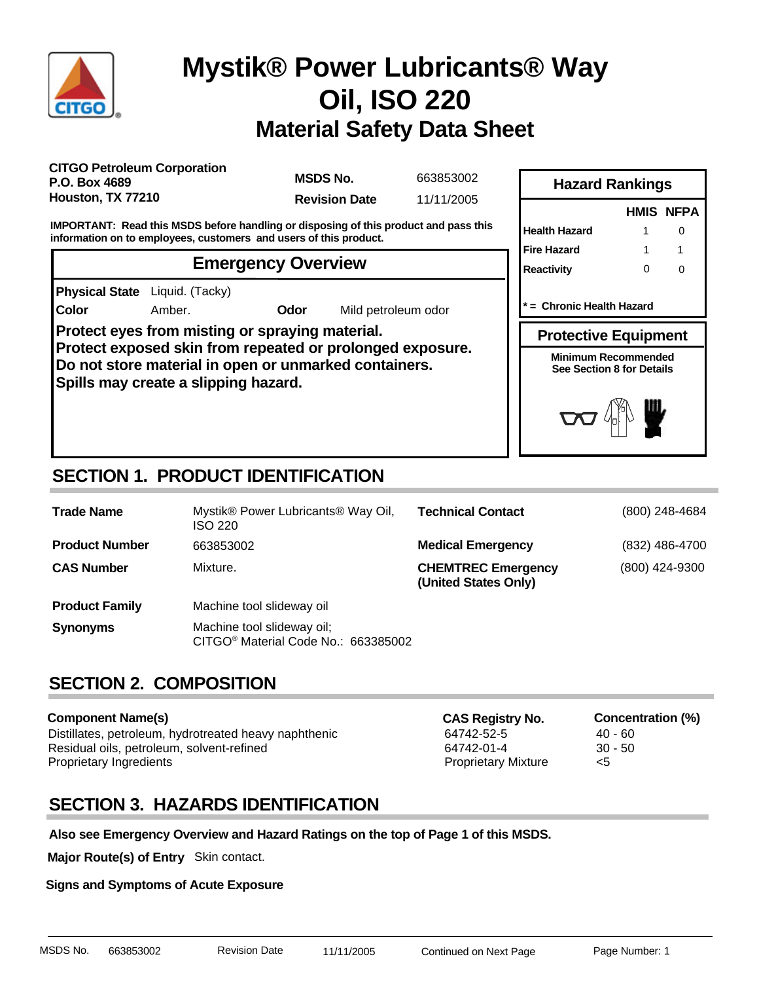

**Color**

# **Material Safety Data Sheet Mystik® Power Lubricants® Way Oil, ISO 220**

**CITGO Petroleum Corporation P.O. Box 4689 Houston, TX 77210**

**MSDS No. Revision Date** 11/11/2005

663853002

**IMPORTANT: Read this MSDS before handling or disposing of this product and pass this information on to employees, customers and users of this product.**

### **Emergency Overview**

**Physical State** Liquid. (Tacky)

Amber. **Odor** Mild petroleum odor

**Protect eyes from misting or spraying material. Protect exposed skin from repeated or prolonged exposure. Do not store material in open or unmarked containers. Spills may create a slipping hazard.**

| 14441 U TVALINITYY                                      |   |           |  |  |  |
|---------------------------------------------------------|---|-----------|--|--|--|
|                                                         |   | HMIS NFPA |  |  |  |
| <b>Health Hazard</b>                                    |   | O         |  |  |  |
| <b>Fire Hazard</b>                                      |   |           |  |  |  |
| <b>Reactivity</b>                                       | ŋ | ∩         |  |  |  |
| = Chronic Health Hazard                                 |   |           |  |  |  |
| <b>Protective Equipment</b>                             |   |           |  |  |  |
| <b>Minimum Recommended</b><br>See Section 8 for Details |   |           |  |  |  |
| $\overline{M}$                                          |   |           |  |  |  |

**Hazard Rankings**

## **SECTION 1. PRODUCT IDENTIFICATION**

| <b>Trade Name</b>     | Mystik® Power Lubricants® Way Oil,<br>ISO 220                                 | <b>Technical Contact</b>                          | (800) 248-4684 |
|-----------------------|-------------------------------------------------------------------------------|---------------------------------------------------|----------------|
| <b>Product Number</b> | 663853002                                                                     | <b>Medical Emergency</b>                          | (832) 486-4700 |
| <b>CAS Number</b>     | Mixture.                                                                      | <b>CHEMTREC Emergency</b><br>(United States Only) | (800) 424-9300 |
| <b>Product Family</b> | Machine tool slideway oil                                                     |                                                   |                |
| <b>Synonyms</b>       | Machine tool slideway oil;<br>CITGO <sup>®</sup> Material Code No.: 663385002 |                                                   |                |

### **SECTION 2. COMPOSITION**

#### **Component Name(s)**

Distillates, petroleum, hydrotreated heavy naphthenic 64742-52-5 40 - 60 Residual oils, petroleum, solvent-refined and the state of the 64742-01-4 30 - 50 Proprietary Ingredients **Proprietary Mixture**  $\leq$ 

**CAS Registry No. Concentration (%)**

### **SECTION 3. HAZARDS IDENTIFICATION**

**Also see Emergency Overview and Hazard Ratings on the top of Page 1 of this MSDS.**

**Major Route(s) of Entry** Skin contact.

**Signs and Symptoms of Acute Exposure**

MSDS No. 663853002 Revision Date 11/11/2005 Continued on Next Page Page Number: 1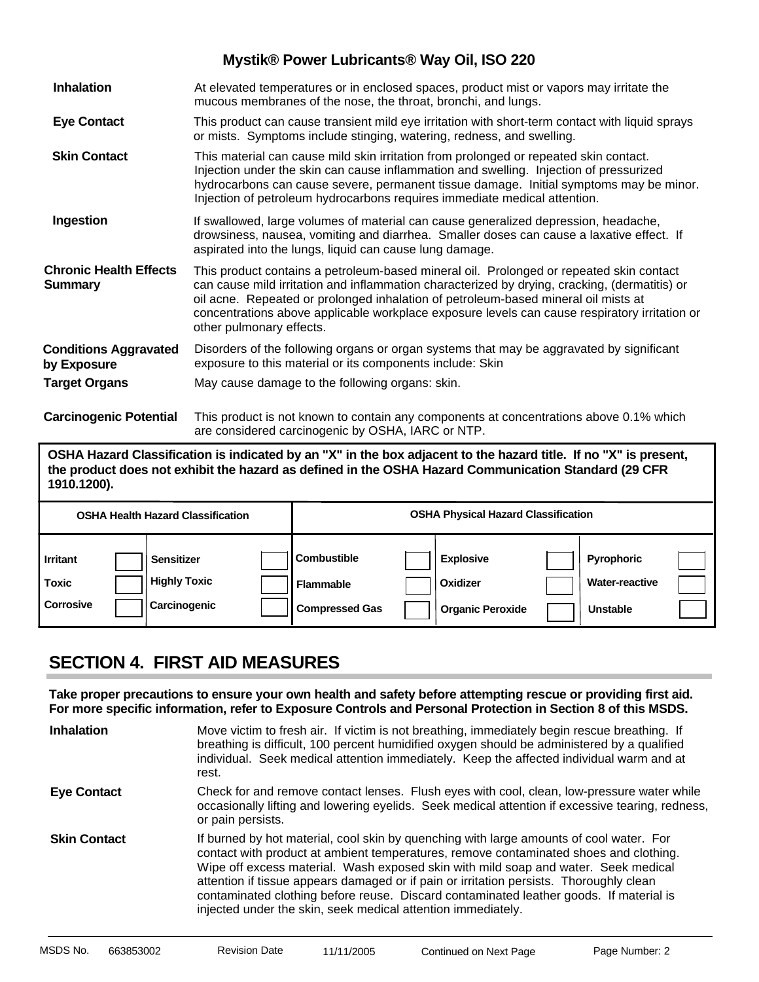| <b>Inhalation</b>                               | At elevated temperatures or in enclosed spaces, product mist or vapors may irritate the<br>mucous membranes of the nose, the throat, bronchi, and lungs.                                                                                                                                                                                                                                                    |
|-------------------------------------------------|-------------------------------------------------------------------------------------------------------------------------------------------------------------------------------------------------------------------------------------------------------------------------------------------------------------------------------------------------------------------------------------------------------------|
| <b>Eye Contact</b>                              | This product can cause transient mild eye irritation with short-term contact with liquid sprays<br>or mists. Symptoms include stinging, watering, redness, and swelling.                                                                                                                                                                                                                                    |
| <b>Skin Contact</b>                             | This material can cause mild skin irritation from prolonged or repeated skin contact.<br>Injection under the skin can cause inflammation and swelling. Injection of pressurized<br>hydrocarbons can cause severe, permanent tissue damage. Initial symptoms may be minor.<br>Injection of petroleum hydrocarbons requires immediate medical attention.                                                      |
| Ingestion                                       | If swallowed, large volumes of material can cause generalized depression, headache,<br>drowsiness, nausea, vomiting and diarrhea. Smaller doses can cause a laxative effect. If<br>aspirated into the lungs, liquid can cause lung damage.                                                                                                                                                                  |
| <b>Chronic Health Effects</b><br><b>Summary</b> | This product contains a petroleum-based mineral oil. Prolonged or repeated skin contact<br>can cause mild irritation and inflammation characterized by drying, cracking, (dermatitis) or<br>oil acne. Repeated or prolonged inhalation of petroleum-based mineral oil mists at<br>concentrations above applicable workplace exposure levels can cause respiratory irritation or<br>other pulmonary effects. |
| <b>Conditions Aggravated</b><br>by Exposure     | Disorders of the following organs or organ systems that may be aggravated by significant<br>exposure to this material or its components include: Skin                                                                                                                                                                                                                                                       |
| <b>Target Organs</b>                            | May cause damage to the following organs: skin.                                                                                                                                                                                                                                                                                                                                                             |
| <b>Carcinogenic Potential</b>                   | This product is not known to contain any components at concentrations above 0.1% which<br>are considered carcinogenic by OSHA, IARC or NTP.                                                                                                                                                                                                                                                                 |

**OSHA Hazard Classification is indicated by an "X" in the box adjacent to the hazard title. If no "X" is present, the product does not exhibit the hazard as defined in the OSHA Hazard Communication Standard (29 CFR 1910.1200).**

| <b>OSHA Health Hazard Classification</b>            |                                                          | <b>OSHA Physical Hazard Classification</b>                      |                                                         |                                                        |  |
|-----------------------------------------------------|----------------------------------------------------------|-----------------------------------------------------------------|---------------------------------------------------------|--------------------------------------------------------|--|
| <b>Irritant</b><br><b>Toxic</b><br><b>Corrosive</b> | <b>Sensitizer</b><br><b>Highly Toxic</b><br>Carcinogenic | <b>Combustible</b><br><b>Flammable</b><br><b>Compressed Gas</b> | <b>Explosive</b><br>Oxidizer<br><b>Organic Peroxide</b> | Pyrophoric<br><b>Water-reactive</b><br><b>Unstable</b> |  |

### **SECTION 4. FIRST AID MEASURES**

**Take proper precautions to ensure your own health and safety before attempting rescue or providing first aid. For more specific information, refer to Exposure Controls and Personal Protection in Section 8 of this MSDS.**

| <b>Inhalation</b>   | Move victim to fresh air. If victim is not breathing, immediately begin rescue breathing. If<br>breathing is difficult, 100 percent humidified oxygen should be administered by a qualified<br>individual. Seek medical attention immediately. Keep the affected individual warm and at<br>rest.                                                                                                                                                                                                                            |
|---------------------|-----------------------------------------------------------------------------------------------------------------------------------------------------------------------------------------------------------------------------------------------------------------------------------------------------------------------------------------------------------------------------------------------------------------------------------------------------------------------------------------------------------------------------|
| <b>Eye Contact</b>  | Check for and remove contact lenses. Flush eyes with cool, clean, low-pressure water while<br>occasionally lifting and lowering eyelids. Seek medical attention if excessive tearing, redness,<br>or pain persists.                                                                                                                                                                                                                                                                                                         |
| <b>Skin Contact</b> | If burned by hot material, cool skin by quenching with large amounts of cool water. For<br>contact with product at ambient temperatures, remove contaminated shoes and clothing.<br>Wipe off excess material. Wash exposed skin with mild soap and water. Seek medical<br>attention if tissue appears damaged or if pain or irritation persists. Thoroughly clean<br>contaminated clothing before reuse. Discard contaminated leather goods. If material is<br>injected under the skin, seek medical attention immediately. |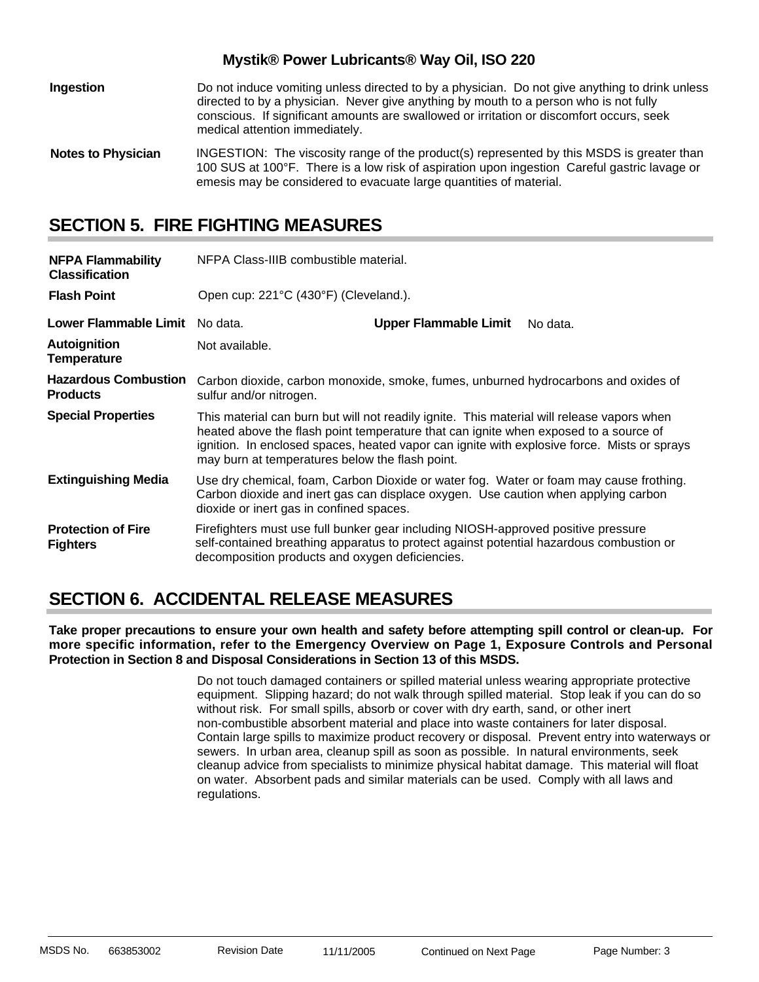| Ingestion                 | Do not induce vomiting unless directed to by a physician. Do not give anything to drink unless<br>directed to by a physician. Never give anything by mouth to a person who is not fully<br>conscious. If significant amounts are swallowed or irritation or discomfort occurs, seek<br>medical attention immediately. |
|---------------------------|-----------------------------------------------------------------------------------------------------------------------------------------------------------------------------------------------------------------------------------------------------------------------------------------------------------------------|
| <b>Notes to Physician</b> | INGESTION: The viscosity range of the product(s) represented by this MSDS is greater than<br>100 SUS at 100°F. There is a low risk of aspiration upon ingestion Careful gastric lavage or<br>emesis may be considered to evacuate large quantities of material.                                                       |

### **SECTION 5. FIRE FIGHTING MEASURES**

| <b>NFPA Flammability</b><br><b>Classification</b> | NFPA Class-IIIB combustible material.                                                                                                                                                                                                                                                                                                |                                       |          |  |  |
|---------------------------------------------------|--------------------------------------------------------------------------------------------------------------------------------------------------------------------------------------------------------------------------------------------------------------------------------------------------------------------------------------|---------------------------------------|----------|--|--|
| <b>Flash Point</b>                                |                                                                                                                                                                                                                                                                                                                                      | Open cup: 221°C (430°F) (Cleveland.). |          |  |  |
| Lower Flammable Limit No data.                    |                                                                                                                                                                                                                                                                                                                                      | <b>Upper Flammable Limit</b>          | No data. |  |  |
| <b>Autoignition</b><br><b>Temperature</b>         | Not available.                                                                                                                                                                                                                                                                                                                       |                                       |          |  |  |
| <b>Hazardous Combustion</b><br><b>Products</b>    | Carbon dioxide, carbon monoxide, smoke, fumes, unburned hydrocarbons and oxides of<br>sulfur and/or nitrogen.                                                                                                                                                                                                                        |                                       |          |  |  |
| <b>Special Properties</b>                         | This material can burn but will not readily ignite. This material will release vapors when<br>heated above the flash point temperature that can ignite when exposed to a source of<br>ignition. In enclosed spaces, heated vapor can ignite with explosive force. Mists or sprays<br>may burn at temperatures below the flash point. |                                       |          |  |  |
| <b>Extinguishing Media</b>                        | Use dry chemical, foam, Carbon Dioxide or water fog. Water or foam may cause frothing.<br>Carbon dioxide and inert gas can displace oxygen. Use caution when applying carbon<br>dioxide or inert gas in confined spaces.                                                                                                             |                                       |          |  |  |
| <b>Protection of Fire</b><br><b>Fighters</b>      | Firefighters must use full bunker gear including NIOSH-approved positive pressure<br>self-contained breathing apparatus to protect against potential hazardous combustion or<br>decomposition products and oxygen deficiencies.                                                                                                      |                                       |          |  |  |

### **SECTION 6. ACCIDENTAL RELEASE MEASURES**

**Take proper precautions to ensure your own health and safety before attempting spill control or clean-up. For more specific information, refer to the Emergency Overview on Page 1, Exposure Controls and Personal Protection in Section 8 and Disposal Considerations in Section 13 of this MSDS.**

> Do not touch damaged containers or spilled material unless wearing appropriate protective equipment. Slipping hazard; do not walk through spilled material. Stop leak if you can do so without risk. For small spills, absorb or cover with dry earth, sand, or other inert non-combustible absorbent material and place into waste containers for later disposal. Contain large spills to maximize product recovery or disposal. Prevent entry into waterways or sewers. In urban area, cleanup spill as soon as possible. In natural environments, seek cleanup advice from specialists to minimize physical habitat damage. This material will float on water. Absorbent pads and similar materials can be used. Comply with all laws and regulations.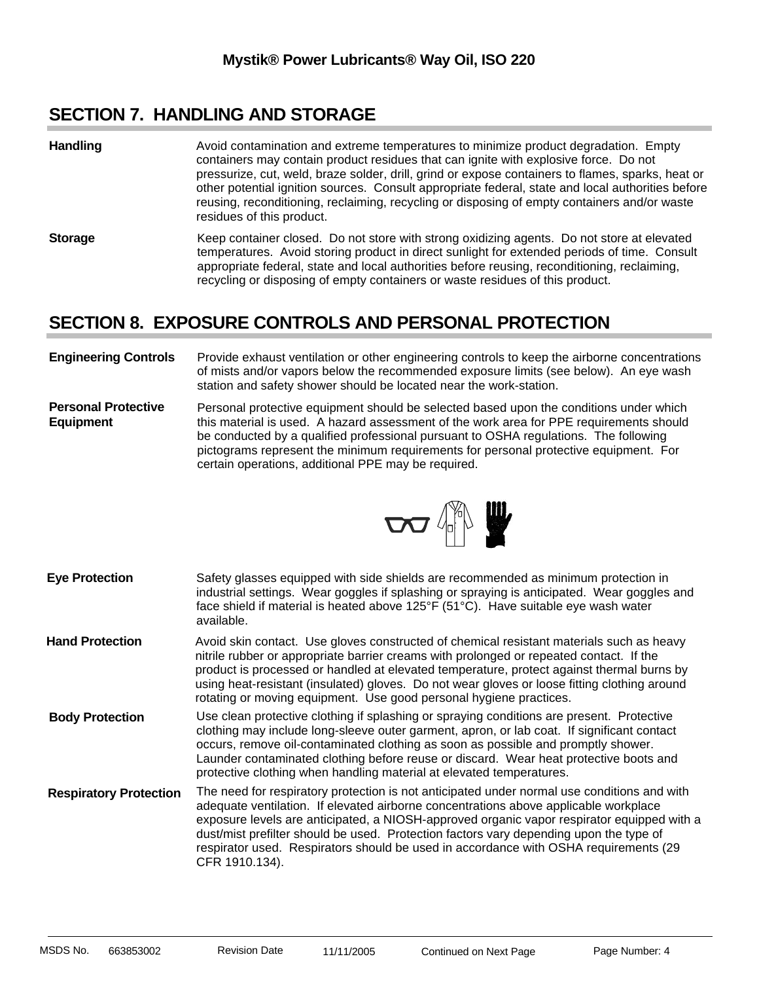### **SECTION 7. HANDLING AND STORAGE**

- Avoid contamination and extreme temperatures to minimize product degradation. Empty containers may contain product residues that can ignite with explosive force. Do not pressurize, cut, weld, braze solder, drill, grind or expose containers to flames, sparks, heat or other potential ignition sources. Consult appropriate federal, state and local authorities before reusing, reconditioning, reclaiming, recycling or disposing of empty containers and/or waste residues of this product. **Handling**
- **Storage** Keep container closed. Do not store with strong oxidizing agents. Do not store at elevated temperatures. Avoid storing product in direct sunlight for extended periods of time. Consult appropriate federal, state and local authorities before reusing, reconditioning, reclaiming, recycling or disposing of empty containers or waste residues of this product.

### **SECTION 8. EXPOSURE CONTROLS AND PERSONAL PROTECTION**

#### **Engineering Controls** Provide exhaust ventilation or other engineering controls to keep the airborne concentrations of mists and/or vapors below the recommended exposure limits (see below). An eye wash station and safety shower should be located near the work-station.

**Personal Protective Equipment** Personal protective equipment should be selected based upon the conditions under which this material is used. A hazard assessment of the work area for PPE requirements should be conducted by a qualified professional pursuant to OSHA regulations. The following pictograms represent the minimum requirements for personal protective equipment. For certain operations, additional PPE may be required.



Safety glasses equipped with side shields are recommended as minimum protection in industrial settings. Wear goggles if splashing or spraying is anticipated. Wear goggles and face shield if material is heated above 125°F (51°C). Have suitable eye wash water available. Avoid skin contact. Use gloves constructed of chemical resistant materials such as heavy nitrile rubber or appropriate barrier creams with prolonged or repeated contact. If the product is processed or handled at elevated temperature, protect against thermal burns by using heat-resistant (insulated) gloves. Do not wear gloves or loose fitting clothing around rotating or moving equipment. Use good personal hygiene practices. The need for respiratory protection is not anticipated under normal use conditions and with adequate ventilation. If elevated airborne concentrations above applicable workplace exposure levels are anticipated, a NIOSH-approved organic vapor respirator equipped with a dust/mist prefilter should be used. Protection factors vary depending upon the type of respirator used. Respirators should be used in accordance with OSHA requirements (29 CFR 1910.134). **Eye Protection Respiratory Protection** Use clean protective clothing if splashing or spraying conditions are present. Protective clothing may include long-sleeve outer garment, apron, or lab coat. If significant contact occurs, remove oil-contaminated clothing as soon as possible and promptly shower. Launder contaminated clothing before reuse or discard. Wear heat protective boots and protective clothing when handling material at elevated temperatures. **Hand Protection Body Protection**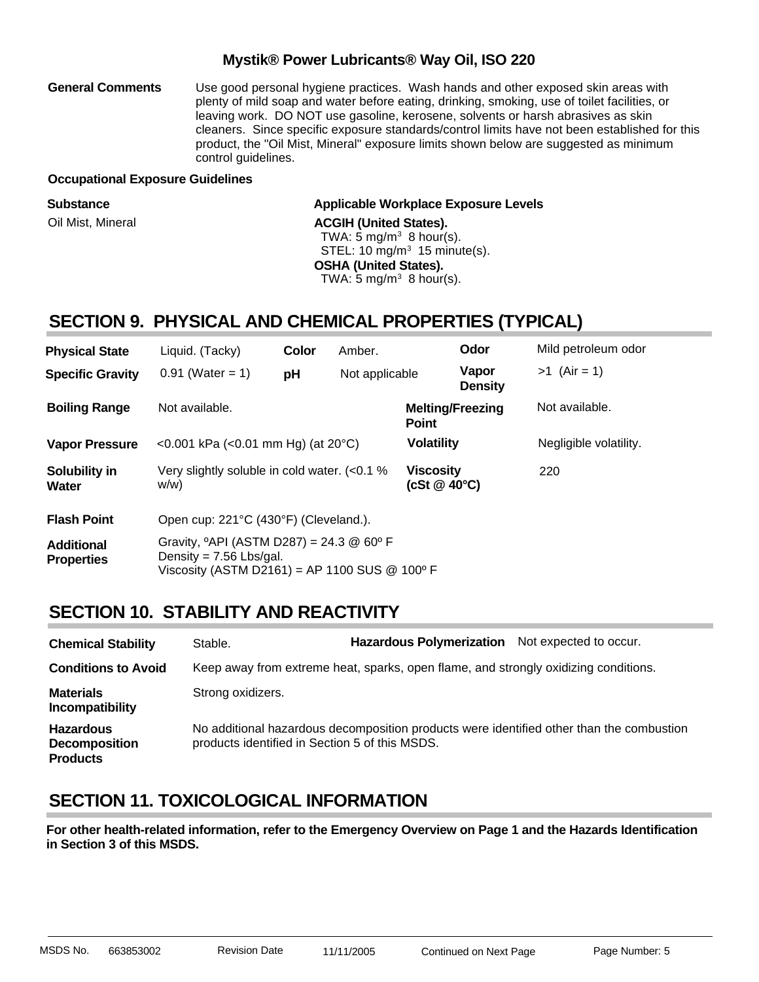Use good personal hygiene practices. Wash hands and other exposed skin areas with plenty of mild soap and water before eating, drinking, smoking, use of toilet facilities, or leaving work. DO NOT use gasoline, kerosene, solvents or harsh abrasives as skin cleaners. Since specific exposure standards/control limits have not been established for this product, the "Oil Mist, Mineral" exposure limits shown below are suggested as minimum control guidelines. **General Comments**

#### **Occupational Exposure Guidelines**

| <b>Substance</b>  | Applicable Workplace Exposure Levels     |
|-------------------|------------------------------------------|
| Oil Mist, Mineral | <b>ACGIH (United States).</b>            |
|                   | TWA: 5 mg/m <sup>3</sup> 8 hour(s).      |
|                   | STEL: 10 mg/m <sup>3</sup> 15 minute(s). |
|                   | <b>OSHA (United States).</b>             |
|                   | TWA: 5 mg/m <sup>3</sup> 8 hour(s).      |
|                   |                                          |

### **SECTION 9. PHYSICAL AND CHEMICAL PROPERTIES (TYPICAL)**

| <b>Physical State</b>                  | Liquid. (Tacky)                                                                                                                                        | Color | Amber.         |                                         | Odor                    | Mild petroleum odor    |
|----------------------------------------|--------------------------------------------------------------------------------------------------------------------------------------------------------|-------|----------------|-----------------------------------------|-------------------------|------------------------|
| <b>Specific Gravity</b>                | $0.91$ (Water = 1)                                                                                                                                     | pH    | Not applicable |                                         | Vapor<br><b>Density</b> | $>1$ (Air = 1)         |
| <b>Boiling Range</b>                   | Not available.                                                                                                                                         |       |                | <b>Melting/Freezing</b><br><b>Point</b> |                         | Not available.         |
| <b>Vapor Pressure</b>                  | $< 0.001$ kPa ( $< 0.01$ mm Hg) (at 20 °C)                                                                                                             |       |                | <b>Volatility</b>                       |                         | Negligible volatility. |
| Solubility in<br><b>Water</b>          | Very slightly soluble in cold water. $(<0.1$ %<br>w/w)                                                                                                 |       |                | <b>Viscosity</b><br>(cSt @ 40°C)        |                         | 220                    |
| <b>Flash Point</b>                     | Open cup: 221°C (430°F) (Cleveland.).                                                                                                                  |       |                |                                         |                         |                        |
| <b>Additional</b><br><b>Properties</b> | Gravity, $^{\circ}$ API (ASTM D287) = 24.3 @ 60 $^{\circ}$ F<br>Density = $7.56$ Lbs/gal.<br>Viscosity (ASTM D2161) = AP 1100 SUS $@$ 100 $^{\circ}$ F |       |                |                                         |                         |                        |

### **SECTION 10. STABILITY AND REACTIVITY**

| <b>Chemical Stability</b>                                   | Stable.                                        | <b>Hazardous Polymerization</b>                                                     | Not expected to occur.                                                                   |
|-------------------------------------------------------------|------------------------------------------------|-------------------------------------------------------------------------------------|------------------------------------------------------------------------------------------|
| <b>Conditions to Avoid</b>                                  |                                                | Keep away from extreme heat, sparks, open flame, and strongly oxidizing conditions. |                                                                                          |
| <b>Materials</b><br>Incompatibility                         | Strong oxidizers.                              |                                                                                     |                                                                                          |
| <b>Hazardous</b><br><b>Decomposition</b><br><b>Products</b> | products identified in Section 5 of this MSDS. |                                                                                     | No additional hazardous decomposition products were identified other than the combustion |

### **SECTION 11. TOXICOLOGICAL INFORMATION**

**For other health-related information, refer to the Emergency Overview on Page 1 and the Hazards Identification in Section 3 of this MSDS.**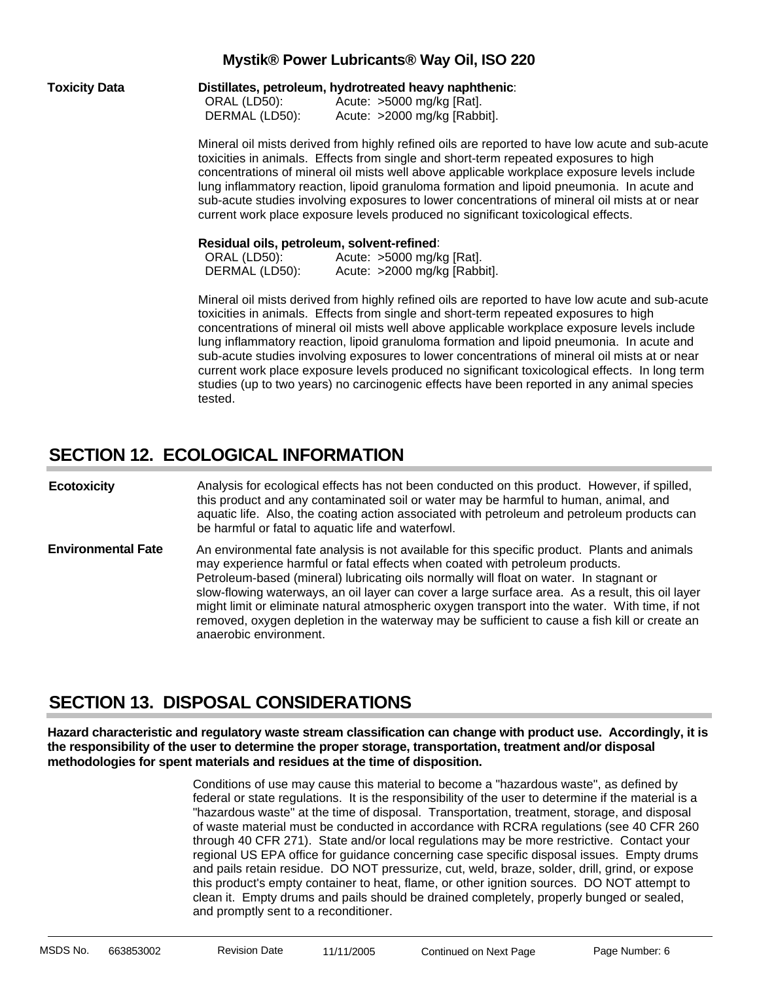| <b>Toxicity Data</b> | Distillates, petroleum, hydrotreated heavy naphthenic:<br>ORAL (LD50):<br>Acute: $>5000$ mg/kg [Rat].<br>DERMAL (LD50):<br>Acute: >2000 mg/kg [Rabbit].                                                                                                                                                                                                                                                                                                                                                                                                                                                                                                                              |  |  |  |  |  |
|----------------------|--------------------------------------------------------------------------------------------------------------------------------------------------------------------------------------------------------------------------------------------------------------------------------------------------------------------------------------------------------------------------------------------------------------------------------------------------------------------------------------------------------------------------------------------------------------------------------------------------------------------------------------------------------------------------------------|--|--|--|--|--|
|                      | Mineral oil mists derived from highly refined oils are reported to have low acute and sub-acute<br>toxicities in animals. Effects from single and short-term repeated exposures to high<br>concentrations of mineral oil mists well above applicable workplace exposure levels include<br>lung inflammatory reaction, lipoid granuloma formation and lipoid pneumonia. In acute and<br>sub-acute studies involving exposures to lower concentrations of mineral oil mists at or near<br>current work place exposure levels produced no significant toxicological effects.                                                                                                            |  |  |  |  |  |
|                      | Residual oils, petroleum, solvent-refined:<br>ORAL (LD50):<br>Acute: >5000 mg/kg [Rat].<br>DERMAL (LD50):<br>Acute: >2000 mg/kg [Rabbit].                                                                                                                                                                                                                                                                                                                                                                                                                                                                                                                                            |  |  |  |  |  |
|                      | Mineral oil mists derived from highly refined oils are reported to have low acute and sub-acute<br>toxicities in animals. Effects from single and short-term repeated exposures to high<br>concentrations of mineral oil mists well above applicable workplace exposure levels include<br>lung inflammatory reaction, lipoid granuloma formation and lipoid pneumonia. In acute and<br>sub-acute studies involving exposures to lower concentrations of mineral oil mists at or near<br>current work place exposure levels produced no significant toxicological effects. In long term<br>studies (up to two years) no carcinogenic effects have been reported in any animal species |  |  |  |  |  |

### **SECTION 12. ECOLOGICAL INFORMATION**

tested.

An environmental fate analysis is not available for this specific product. Plants and animals may experience harmful or fatal effects when coated with petroleum products. Petroleum-based (mineral) lubricating oils normally will float on water. In stagnant or slow-flowing waterways, an oil layer can cover a large surface area. As a result, this oil layer might limit or eliminate natural atmospheric oxygen transport into the water. With time, if not removed, oxygen depletion in the waterway may be sufficient to cause a fish kill or create an anaerobic environment. Analysis for ecological effects has not been conducted on this product. However, if spilled, this product and any contaminated soil or water may be harmful to human, animal, and aquatic life. Also, the coating action associated with petroleum and petroleum products can be harmful or fatal to aquatic life and waterfowl. **Ecotoxicity Environmental Fate**

### **SECTION 13. DISPOSAL CONSIDERATIONS**

**Hazard characteristic and regulatory waste stream classification can change with product use. Accordingly, it is the responsibility of the user to determine the proper storage, transportation, treatment and/or disposal methodologies for spent materials and residues at the time of disposition.**

> Conditions of use may cause this material to become a "hazardous waste", as defined by federal or state regulations. It is the responsibility of the user to determine if the material is a "hazardous waste" at the time of disposal. Transportation, treatment, storage, and disposal of waste material must be conducted in accordance with RCRA regulations (see 40 CFR 260 through 40 CFR 271). State and/or local regulations may be more restrictive. Contact your regional US EPA office for guidance concerning case specific disposal issues. Empty drums and pails retain residue. DO NOT pressurize, cut, weld, braze, solder, drill, grind, or expose this product's empty container to heat, flame, or other ignition sources. DO NOT attempt to clean it. Empty drums and pails should be drained completely, properly bunged or sealed, and promptly sent to a reconditioner.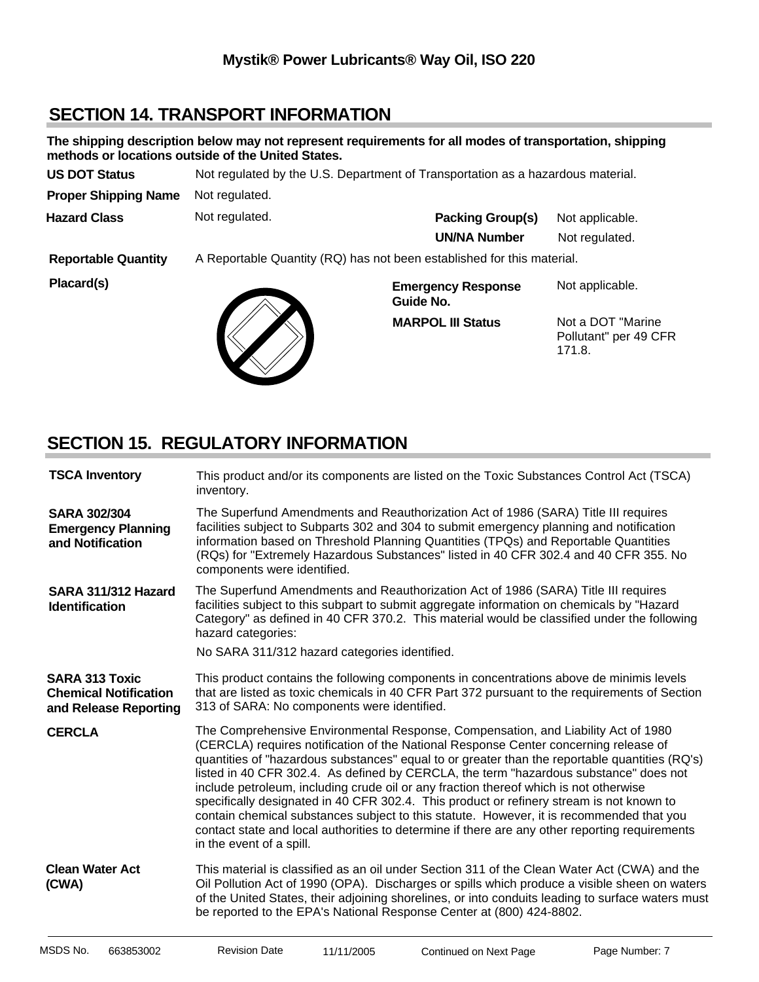### **SECTION 14. TRANSPORT INFORMATION**

|                             | methods or locations outside of the United States.                              | The shipping description below may not represent requirements for all modes of transportation, shipping |                                                       |  |
|-----------------------------|---------------------------------------------------------------------------------|---------------------------------------------------------------------------------------------------------|-------------------------------------------------------|--|
| <b>US DOT Status</b>        | Not regulated by the U.S. Department of Transportation as a hazardous material. |                                                                                                         |                                                       |  |
| <b>Proper Shipping Name</b> | Not regulated.                                                                  |                                                                                                         |                                                       |  |
| <b>Hazard Class</b>         | Not regulated.                                                                  | <b>Packing Group(s)</b>                                                                                 | Not applicable.                                       |  |
|                             |                                                                                 | <b>UN/NA Number</b>                                                                                     | Not regulated.                                        |  |
| <b>Reportable Quantity</b>  | A Reportable Quantity (RQ) has not been established for this material.          |                                                                                                         |                                                       |  |
| Placard(s)                  |                                                                                 | <b>Emergency Response</b><br>Guide No.                                                                  | Not applicable.                                       |  |
|                             |                                                                                 | <b>MARPOL III Status</b>                                                                                | Not a DOT "Marine"<br>Pollutant" per 49 CFR<br>171.8. |  |

### **SECTION 15. REGULATORY INFORMATION**

 $\bigvee$ 

| <b>TSCA Inventory</b>                                                          | This product and/or its components are listed on the Toxic Substances Control Act (TSCA)<br>inventory.                                                                                                                                                                                                                                                                                                                                                                                                                                                                                                                                                                                                                                                                              |  |  |  |  |
|--------------------------------------------------------------------------------|-------------------------------------------------------------------------------------------------------------------------------------------------------------------------------------------------------------------------------------------------------------------------------------------------------------------------------------------------------------------------------------------------------------------------------------------------------------------------------------------------------------------------------------------------------------------------------------------------------------------------------------------------------------------------------------------------------------------------------------------------------------------------------------|--|--|--|--|
| <b>SARA 302/304</b><br><b>Emergency Planning</b><br>and Notification           | The Superfund Amendments and Reauthorization Act of 1986 (SARA) Title III requires<br>facilities subject to Subparts 302 and 304 to submit emergency planning and notification<br>information based on Threshold Planning Quantities (TPQs) and Reportable Quantities<br>(RQs) for "Extremely Hazardous Substances" listed in 40 CFR 302.4 and 40 CFR 355. No<br>components were identified.                                                                                                                                                                                                                                                                                                                                                                                        |  |  |  |  |
| SARA 311/312 Hazard<br><b>Identification</b>                                   | The Superfund Amendments and Reauthorization Act of 1986 (SARA) Title III requires<br>facilities subject to this subpart to submit aggregate information on chemicals by "Hazard<br>Category" as defined in 40 CFR 370.2. This material would be classified under the following<br>hazard categories:<br>No SARA 311/312 hazard categories identified.                                                                                                                                                                                                                                                                                                                                                                                                                              |  |  |  |  |
|                                                                                |                                                                                                                                                                                                                                                                                                                                                                                                                                                                                                                                                                                                                                                                                                                                                                                     |  |  |  |  |
| <b>SARA 313 Toxic</b><br><b>Chemical Notification</b><br>and Release Reporting | This product contains the following components in concentrations above de minimis levels<br>that are listed as toxic chemicals in 40 CFR Part 372 pursuant to the requirements of Section<br>313 of SARA: No components were identified.                                                                                                                                                                                                                                                                                                                                                                                                                                                                                                                                            |  |  |  |  |
| <b>CERCLA</b>                                                                  | The Comprehensive Environmental Response, Compensation, and Liability Act of 1980<br>(CERCLA) requires notification of the National Response Center concerning release of<br>quantities of "hazardous substances" equal to or greater than the reportable quantities (RQ's)<br>listed in 40 CFR 302.4. As defined by CERCLA, the term "hazardous substance" does not<br>include petroleum, including crude oil or any fraction thereof which is not otherwise<br>specifically designated in 40 CFR 302.4. This product or refinery stream is not known to<br>contain chemical substances subject to this statute. However, it is recommended that you<br>contact state and local authorities to determine if there are any other reporting requirements<br>in the event of a spill. |  |  |  |  |
| <b>Clean Water Act</b><br>(CWA)                                                | This material is classified as an oil under Section 311 of the Clean Water Act (CWA) and the<br>Oil Pollution Act of 1990 (OPA). Discharges or spills which produce a visible sheen on waters<br>of the United States, their adjoining shorelines, or into conduits leading to surface waters must<br>be reported to the EPA's National Response Center at (800) 424-8802.                                                                                                                                                                                                                                                                                                                                                                                                          |  |  |  |  |
|                                                                                |                                                                                                                                                                                                                                                                                                                                                                                                                                                                                                                                                                                                                                                                                                                                                                                     |  |  |  |  |